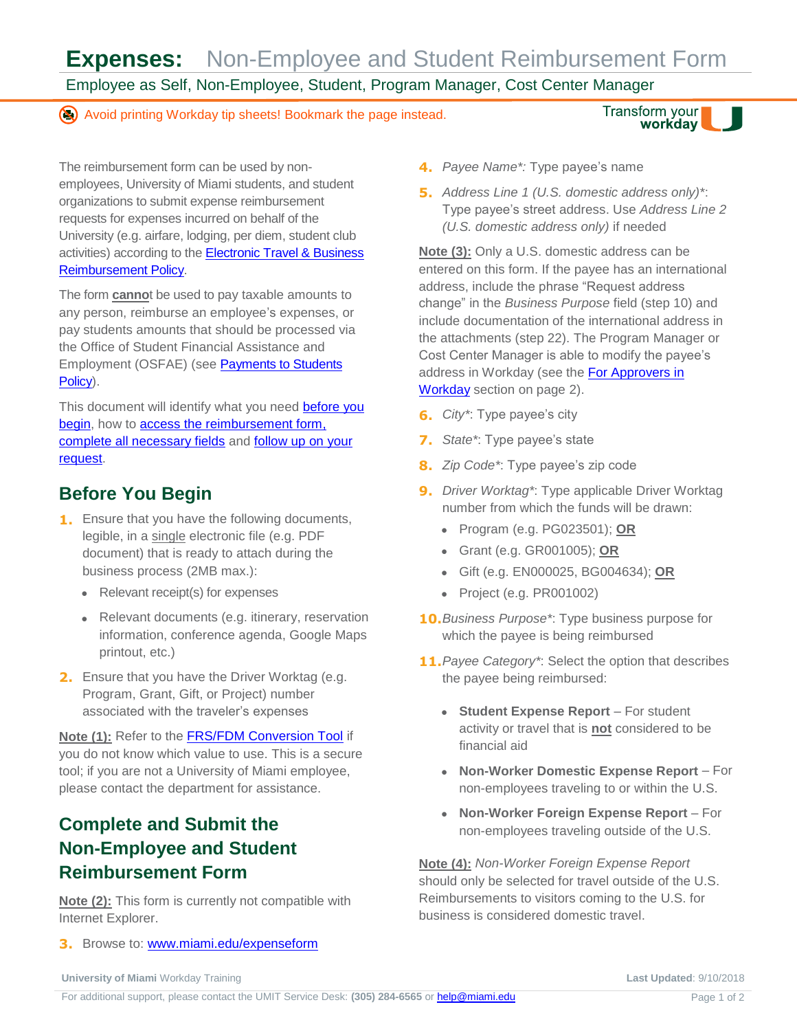**Expenses:** Non-Employee and Student Reimbursement Form

Employee as Self, Non-Employee, Student, Program Manager, Cost Center Manager

Avoid printing Workday tip sheets! Bookmark the page instead.

Transform your workday

The reimbursement form can be used by nonemployees, University of Miami students, and student organizations to submit expense reimbursement requests for expenses incurred on behalf of the University (e.g. airfare, lodging, per diem, student club activities) according to the [Electronic Travel & Business](https://miamiedu.sharepoint.com/sites/bf/PublishingImages/Pages/Controller-Policies/D015E.pdf)  [Reimbursement Policy.](https://miamiedu.sharepoint.com/sites/bf/PublishingImages/Pages/Controller-Policies/D015E.pdf)

The form **canno**t be used to pay taxable amounts to any person, reimburse an employee's expenses, or pay students amounts that should be processed via the Office of Student Financial Assistance and Employment (OSFAE) (see [Payments to Students](https://miamiedu.sharepoint.com/sites/bf/PublishingImages/Pages/Controller-Policies/B030.pdf)  [Policy\)](https://miamiedu.sharepoint.com/sites/bf/PublishingImages/Pages/Controller-Policies/B030.pdf).

This document will identify what you need before you [begin,](#page-0-0) how to [access the reimbursement form,](#page-0-1)  [complete all necessary fields](#page-0-1) and [follow up on](#page-1-0) your [request.](#page-1-0)

## <span id="page-0-0"></span>**Before You Begin**

- **1.** Ensure that you have the following documents, legible, in a single electronic file (e.g. PDF document) that is ready to attach during the business process (2MB max.):
	- Relevant receipt(s) for expenses
	- Relevant documents (e.g. itinerary, reservation information, conference agenda, Google Maps printout, etc.)
- **2.** Ensure that you have the Driver Worktag (e.g. Program, Grant, Gift, or Project) number associated with the traveler's expenses

**Note (1):** Refer to the [FRS/FDM Conversion Tool](http://www.miami.edu/frstofdm) if you do not know which value to use. This is a secure tool; if you are not a University of Miami employee, please contact the department for assistance.

# <span id="page-0-1"></span>**Complete and Submit the Non-Employee and Student Reimbursement Form**

**Note (2):** This form is currently not compatible with Internet Explorer.

**3.** Browse to: [www.miami.edu/expenseform](http://www.miami.edu/expenseform)

- **4.** *Payee Name\*:* Type payee's name
- **5.** *Address Line 1 (U.S. domestic address only)\**: Type payee's street address. Use *Address Line 2 (U.S. domestic address only)* if needed

**Note (3):** Only a U.S. domestic address can be entered on this form. If the payee has an international address, include the phrase "Request address change" in the *Business Purpose* field (step [10\)](#page-0-2) and include documentation of the international address in the attachments (ste[p 22\)](#page-1-1). The Program Manager or Cost Center Manager is able to modify the payee's address in Workday (see the For Approvers in [Workday](#page-1-2) section on page [2\)](#page-1-2).

- **6.** *City\**: Type payee's city
- **7.** *State\**: Type payee's state
- **8.** *Zip Code\**: Type payee's zip code
- **9.** *Driver Worktag\**: Type applicable Driver Worktag number from which the funds will be drawn:
	- Program (e.g. PG023501); **OR**
	- Grant (e.g. GR001005); **OR**
	- Gift (e.g. EN000025, BG004634); **OR**
	- Project (e.g. PR001002)
- <span id="page-0-2"></span>**10.***Business Purpose\**: Type business purpose for which the payee is being reimbursed
- **11.***Payee Category\**: Select the option that describes the payee being reimbursed:
	- **Student Expense Report** For student activity or travel that is **not** considered to be financial aid
	- **Non-Worker Domestic Expense Report** For non-employees traveling to or within the U.S.
	- **Non-Worker Foreign Expense Report** For non-employees traveling outside of the U.S.

**Note (4):** *Non-Worker Foreign Expense Report*  should only be selected for travel outside of the U.S. Reimbursements to visitors coming to the U.S. for business is considered domestic travel.